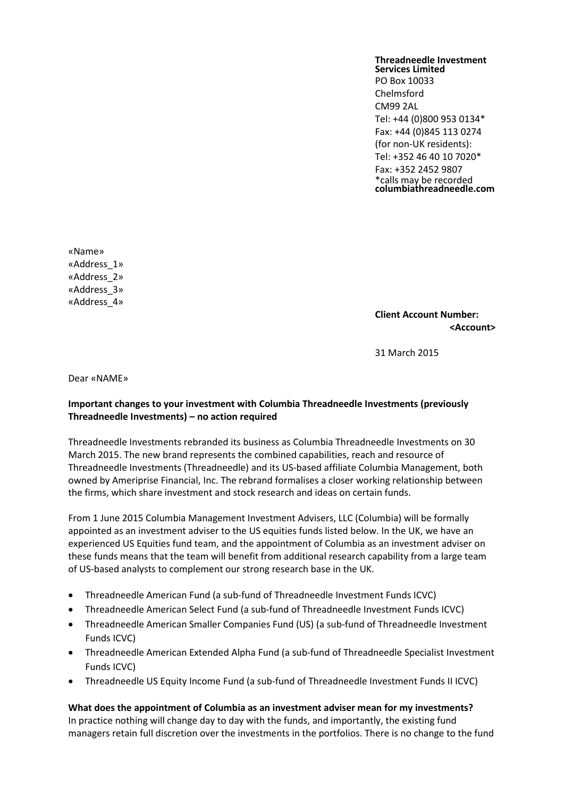## **Threadneedle Investment Services Limited**

PO Box 10033 Chelmsford CM99 2AL Tel: +44 (0)800 953 0134\* Fax: +44 (0)845 113 0274 (for non-UK residents): Tel: +352 46 40 10 7020\* Fax: +352 2452 9807 \*calls may be recorded **columbiathreadneedle.com**

«Name» «Address\_1» «Address\_2» «Address\_3» «Address\_4»

**Client Account Number: <Account>**

31 March 2015

Dear «NAME»

## **Important changes to your investment with Columbia Threadneedle Investments (previously Threadneedle Investments) – no action required**

Threadneedle Investments rebranded its business as Columbia Threadneedle Investments on 30 March 2015. The new brand represents the combined capabilities, reach and resource of Threadneedle Investments (Threadneedle) and its US-based affiliate Columbia Management, both owned by Ameriprise Financial, Inc. The rebrand formalises a closer working relationship between the firms, which share investment and stock research and ideas on certain funds.

From 1 June 2015 Columbia Management Investment Advisers, LLC (Columbia) will be formally appointed as an investment adviser to the US equities funds listed below. In the UK, we have an experienced US Equities fund team, and the appointment of Columbia as an investment adviser on these funds means that the team will benefit from additional research capability from a large team of US-based analysts to complement our strong research base in the UK.

- Threadneedle American Fund (a sub-fund of Threadneedle Investment Funds ICVC)
- Threadneedle American Select Fund (a sub-fund of Threadneedle Investment Funds ICVC)
- Threadneedle American Smaller Companies Fund (US) (a sub-fund of Threadneedle Investment Funds ICVC)
- Threadneedle American Extended Alpha Fund (a sub-fund of Threadneedle Specialist Investment Funds ICVC)
- Threadneedle US Equity Income Fund (a sub-fund of Threadneedle Investment Funds II ICVC)

**What does the appointment of Columbia as an investment adviser mean for my investments?** In practice nothing will change day to day with the funds, and importantly, the existing fund managers retain full discretion over the investments in the portfolios. There is no change to the fund